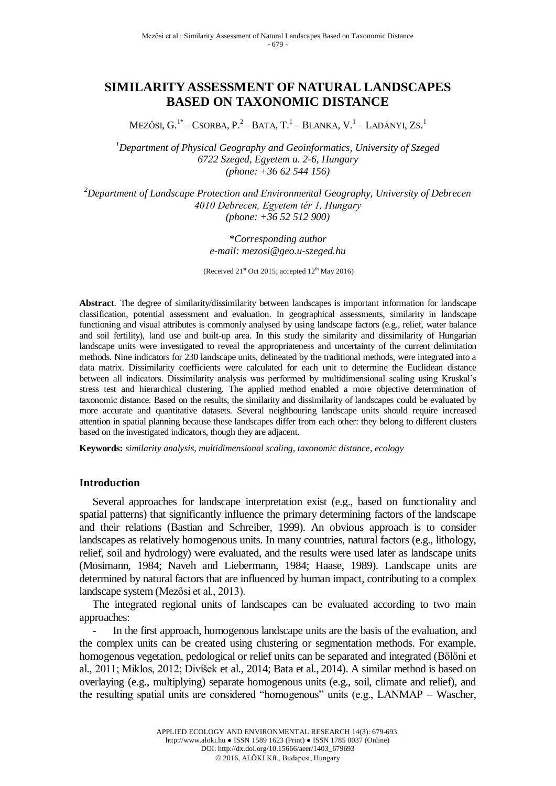# **SIMILARITY ASSESSMENT OF NATURAL LANDSCAPES BASED ON TAXONOMIC DISTANCE**

MEZŐSI, G.<sup>1\*</sup>–CSORBA, P.<sup>2</sup>–Bata, T.<sup>1</sup>–Blanka, V.<sup>1</sup>–Ladányi, Zs.<sup>1</sup>

*<sup>1</sup>Department of Physical Geography and Geoinformatics, University of Szeged 6722 Szeged, Egyetem u. 2-6, Hungary (phone: +36 62 544 156)* 

*<sup>2</sup>Department of Landscape Protection and Environmental Geography, University of Debrecen 4010 Debrecen, Egyetem tér 1, Hungary (phone: +36 52 512 900)* 

#### *\*Corresponding author e-mail: mezosi@geo.u-szeged.hu*

(Received  $21<sup>st</sup>$  Oct 2015; accepted  $12<sup>th</sup>$  May 2016)

**Abstract**. The degree of similarity/dissimilarity between landscapes is important information for landscape classification, potential assessment and evaluation. In geographical assessments, similarity in landscape functioning and visual attributes is commonly analysed by using landscape factors (e.g., relief, water balance and soil fertility), land use and built-up area. In this study the similarity and dissimilarity of Hungarian landscape units were investigated to reveal the appropriateness and uncertainty of the current delimitation methods. Nine indicators for 230 landscape units, delineated by the traditional methods, were integrated into a data matrix. Dissimilarity coefficients were calculated for each unit to determine the Euclidean distance between all indicators. Dissimilarity analysis was performed by multidimensional scaling using Kruskal's stress test and hierarchical clustering. The applied method enabled a more objective determination of taxonomic distance. Based on the results, the similarity and dissimilarity of landscapes could be evaluated by more accurate and quantitative datasets. Several neighbouring landscape units should require increased attention in spatial planning because these landscapes differ from each other: they belong to different clusters based on the investigated indicators, though they are adjacent.

**Keywords:** *similarity analysis, multidimensional scaling, taxonomic distance, ecology*

### **Introduction**

Several approaches for landscape interpretation exist (e.g., based on functionality and spatial patterns) that significantly influence the primary determining factors of the landscape and their relations (Bastian and Schreiber, 1999). An obvious approach is to consider landscapes as relatively homogenous units. In many countries, natural factors (e.g., lithology, relief, soil and hydrology) were evaluated, and the results were used later as landscape units (Mosimann, 1984; Naveh and Liebermann, 1984; Haase, 1989). Landscape units are determined by natural factors that are influenced by human impact, contributing to a complex landscape system (Mezősi et al., 2013).

The integrated regional units of landscapes can be evaluated according to two main approaches:

In the first approach, homogenous landscape units are the basis of the evaluation, and the complex units can be created using clustering or segmentation methods. For example, homogenous vegetation, pedological or relief units can be separated and integrated (Bölöni et al., 2011; Miklos, 2012; Divíšek et al., 2014; Bata et al., 2014). A similar method is based on overlaying (e.g., multiplying) separate homogenous units (e.g., soil, climate and relief), and the resulting spatial units are considered "homogenous" units (e.g., LANMAP – Wascher,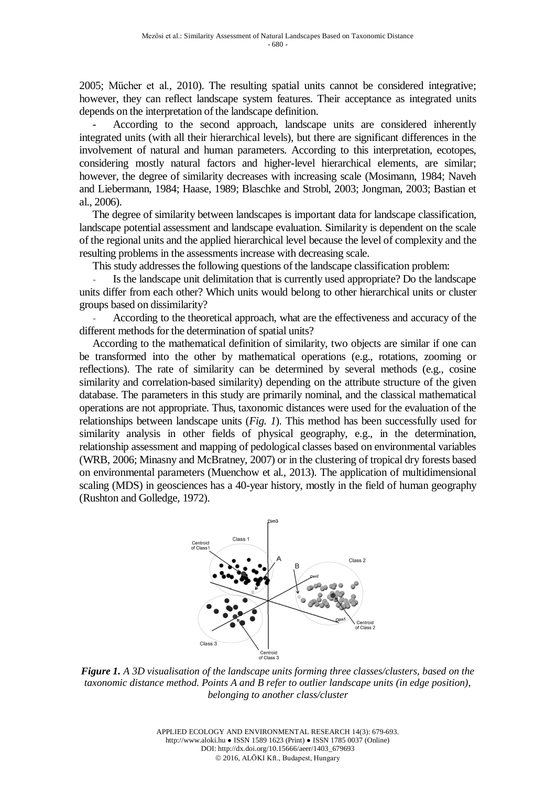2005; Mücher et al., 2010). The resulting spatial units cannot be considered integrative; however, they can reflect landscape system features. Their acceptance as integrated units depends on the interpretation of the landscape definition.

- According to the second approach, landscape units are considered inherently integrated units (with all their hierarchical levels), but there are significant differences in the involvement of natural and human parameters. According to this interpretation, ecotopes, considering mostly natural factors and higher-level hierarchical elements, are similar; however, the degree of similarity decreases with increasing scale (Mosimann, 1984; Naveh and Liebermann, 1984; Haase, 1989; Blaschke and Strobl, 2003; Jongman, 2003; Bastian et al., 2006).

The degree of similarity between landscapes is important data for landscape classification, landscape potential assessment and landscape evaluation. Similarity is dependent on the scale of the regional units and the applied hierarchical level because the level of complexity and the resulting problems in the assessments increase with decreasing scale.

This study addresses the following questions of the landscape classification problem:

Is the landscape unit delimitation that is currently used appropriate? Do the landscape units differ from each other? Which units would belong to other hierarchical units or cluster groups based on dissimilarity?

According to the theoretical approach, what are the effectiveness and accuracy of the different methods for the determination of spatial units?

According to the mathematical definition of similarity, two objects are similar if one can be transformed into the other by mathematical operations (e.g., rotations, zooming or reflections). The rate of similarity can be determined by several methods (e.g., cosine similarity and correlation-based similarity) depending on the attribute structure of the given database. The parameters in this study are primarily nominal, and the classical mathematical operations are not appropriate. Thus, taxonomic distances were used for the evaluation of the relationships between landscape units (*Fig. 1*). This method has been successfully used for similarity analysis in other fields of physical geography, e.g., in the determination, relationship assessment and mapping of pedological classes based on environmental variables (WRB, 2006; Minasny and McBratney, 2007) or in the clustering of tropical dry forests based on environmental parameters (Muenchow et al., 2013). The application of multidimensional scaling (MDS) in geosciences has a 40-year history, mostly in the field of human geography (Rushton and Golledge, 1972).



*Figure 1. A 3D visualisation of the landscape units forming three classes/clusters, based on the taxonomic distance method. Points A and B refer to outlier landscape units (in edge position), belonging to another class/cluster*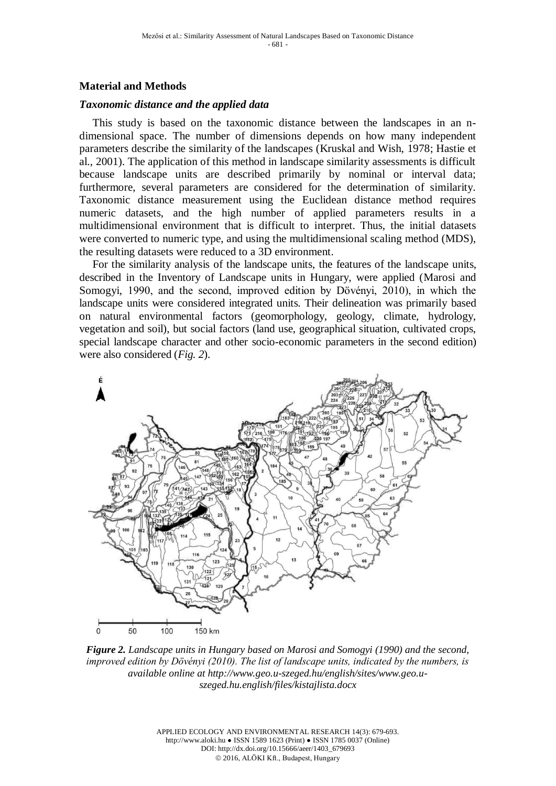# **Material and Methods**

### *Taxonomic distance and the applied data*

This study is based on the taxonomic distance between the landscapes in an ndimensional space. The number of dimensions depends on how many independent parameters describe the similarity of the landscapes (Kruskal and Wish, 1978; Hastie et al., 2001). The application of this method in landscape similarity assessments is difficult because landscape units are described primarily by nominal or interval data; furthermore, several parameters are considered for the determination of similarity. Taxonomic distance measurement using the Euclidean distance method requires numeric datasets, and the high number of applied parameters results in a multidimensional environment that is difficult to interpret. Thus, the initial datasets were converted to numeric type, and using the multidimensional scaling method (MDS), the resulting datasets were reduced to a 3D environment.

For the similarity analysis of the landscape units, the features of the landscape units, described in the Inventory of Landscape units in Hungary, were applied (Marosi and Somogyi, 1990, and the second, improved edition by Dövényi, 2010), in which the landscape units were considered integrated units. Their delineation was primarily based on natural environmental factors (geomorphology, geology, climate, hydrology, vegetation and soil), but social factors (land use, geographical situation, cultivated crops, special landscape character and other socio-economic parameters in the second edition) were also considered (*Fig. 2*).



*Figure 2. Landscape units in Hungary based on Marosi and Somogyi (1990) and the second, improved edition by Dövényi (2010). The list of landscape units, indicated by the numbers, is available online at [http://www.geo.u-szeged.hu/english/sites/www.geo.u](http://www.geo.u-szeged.hu/english/sites/www.geo.u-szeged.hu.english/files/kistajlista.docx)[szeged.hu.english/files/kistajlista.docx](http://www.geo.u-szeged.hu/english/sites/www.geo.u-szeged.hu.english/files/kistajlista.docx)*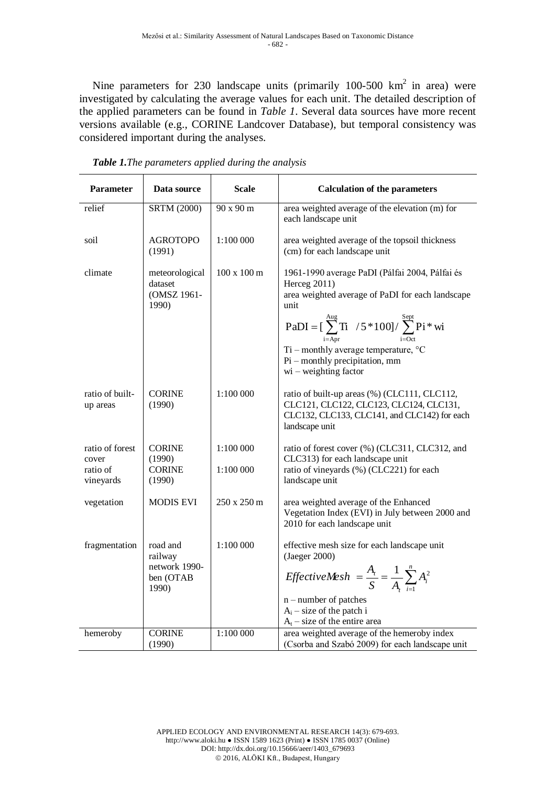Nine parameters for 230 landscape units (primarily 100-500 km<sup>2</sup> in area) were investigated by calculating the average values for each unit. The detailed description of the applied parameters can be found in *Table 1*. Several data sources have more recent versions available (e.g., CORINE Landcover Database), but temporal consistency was considered important during the analyses.

| <b>Parameter</b>                                  | Data source                                                | <b>Scale</b>               | <b>Calculation of the parameters</b>                                                                                                                                                                                                                                                                                                  |
|---------------------------------------------------|------------------------------------------------------------|----------------------------|---------------------------------------------------------------------------------------------------------------------------------------------------------------------------------------------------------------------------------------------------------------------------------------------------------------------------------------|
| relief                                            | <b>SRTM (2000)</b>                                         | 90 x 90 m                  | area weighted average of the elevation (m) for<br>each landscape unit                                                                                                                                                                                                                                                                 |
| soil                                              | <b>AGROTOPO</b><br>(1991)                                  | 1:100 000                  | area weighted average of the topsoil thickness<br>(cm) for each landscape unit                                                                                                                                                                                                                                                        |
| climate                                           | meteorological<br>dataset<br>(OMSZ 1961-<br>1990)          | $100 \times 100 \text{ m}$ | 1961-1990 average PaDI (Pálfai 2004, Pálfai és<br>Herceg 2011)<br>area weighted average of PaDI for each landscape<br>unit<br>$PaDI = [\sum_{i=Arr}^{Aug} Ti \quad / 5 * 100] / \sum_{i=Oct}^{Sept} Pi * wi$<br>Ti – monthly average temperature, $\mathrm{^{\circ}C}$<br>$Pi$ – monthly precipitation, mm<br>$wi - weighting factor$ |
| ratio of built-<br>up areas                       | <b>CORINE</b><br>(1990)                                    | 1:100 000                  | ratio of built-up areas (%) (CLC111, CLC112,<br>CLC121, CLC122, CLC123, CLC124, CLC131,<br>CLC132, CLC133, CLC141, and CLC142) for each<br>landscape unit                                                                                                                                                                             |
| ratio of forest<br>cover<br>ratio of<br>vineyards | <b>CORINE</b><br>(1990)<br><b>CORINE</b><br>(1990)         | 1:100 000<br>1:100 000     | ratio of forest cover (%) (CLC311, CLC312, and<br>CLC313) for each landscape unit<br>ratio of vineyards (%) (CLC221) for each<br>landscape unit                                                                                                                                                                                       |
| vegetation                                        | <b>MODIS EVI</b>                                           | 250 x 250 m                | area weighted average of the Enhanced<br>Vegetation Index (EVI) in July between 2000 and<br>2010 for each landscape unit                                                                                                                                                                                                              |
| fragmentation                                     | road and<br>railway<br>network 1990-<br>ben (OTAB<br>1990) | 1:100 000                  | effective mesh size for each landscape unit<br>(Jaeger 2000)<br>EffectiveMesh = $\frac{A_i}{S} = \frac{1}{A_i} \sum_{i=1}^{n} A_i^2$<br>$n$ – number of patches<br>$A_i$ – size of the patch i<br>$A_t$ – size of the entire area                                                                                                     |
| hemeroby                                          | <b>CORINE</b><br>(1990)                                    | 1:100000                   | area weighted average of the hemeroby index<br>(Csorba and Szabó 2009) for each landscape unit                                                                                                                                                                                                                                        |

| <b>Table 1.</b> The parameters applied during the analysis |  |  |  |  |
|------------------------------------------------------------|--|--|--|--|
|------------------------------------------------------------|--|--|--|--|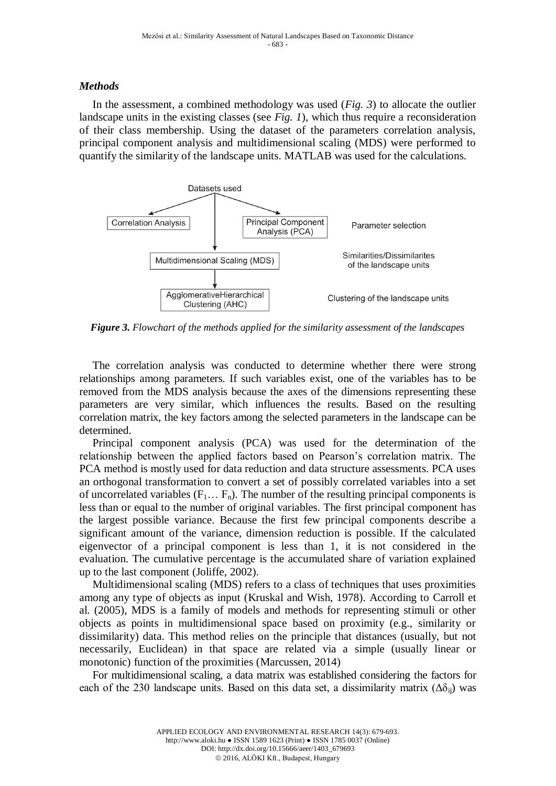## *Methods*

In the assessment, a combined methodology was used (*Fig. 3*) to allocate the outlier landscape units in the existing classes (see *Fig. 1*), which thus require a reconsideration of their class membership. Using the dataset of the parameters correlation analysis, principal component analysis and multidimensional scaling (MDS) were performed to quantify the similarity of the landscape units. MATLAB was used for the calculations.



*Figure 3. Flowchart of the methods applied for the similarity assessment of the landscapes*

The correlation analysis was conducted to determine whether there were strong relationships among parameters. If such variables exist, one of the variables has to be removed from the MDS analysis because the axes of the dimensions representing these parameters are very similar, which influences the results. Based on the resulting correlation matrix, the key factors among the selected parameters in the landscape can be determined.

Principal component analysis (PCA) was used for the determination of the relationship between the applied factors based on Pearson's correlation matrix. The PCA method is mostly used for data reduction and data structure assessments. PCA uses an orthogonal transformation to convert a set of possibly correlated variables into a set of uncorrelated variables  $(F_1... F_n)$ . The number of the resulting principal components is less than or equal to the number of original variables. The first principal component has the largest possible variance. Because the first few principal components describe a significant amount of the variance, dimension reduction is possible. If the calculated eigenvector of a principal component is less than 1, it is not considered in the evaluation. The cumulative percentage is the accumulated share of variation explained up to the last component (Joliffe, 2002).

Multidimensional scaling (MDS) refers to a class of techniques that uses proximities among any type of objects as input (Kruskal and Wish, 1978). According to Carroll et al. (2005), MDS is a family of models and methods for representing stimuli or other objects as points in multidimensional space based on proximity (e.g., similarity or dissimilarity) data. This method relies on the principle that distances (usually, but not necessarily, Euclidean) in that space are related via a simple (usually linear or monotonic) function of the proximities (Marcussen, 2014)

For multidimensional scaling, a data matrix was established considering the factors for each of the 230 landscape units. Based on this data set, a dissimilarity matrix  $(\Delta \delta_{ii})$  was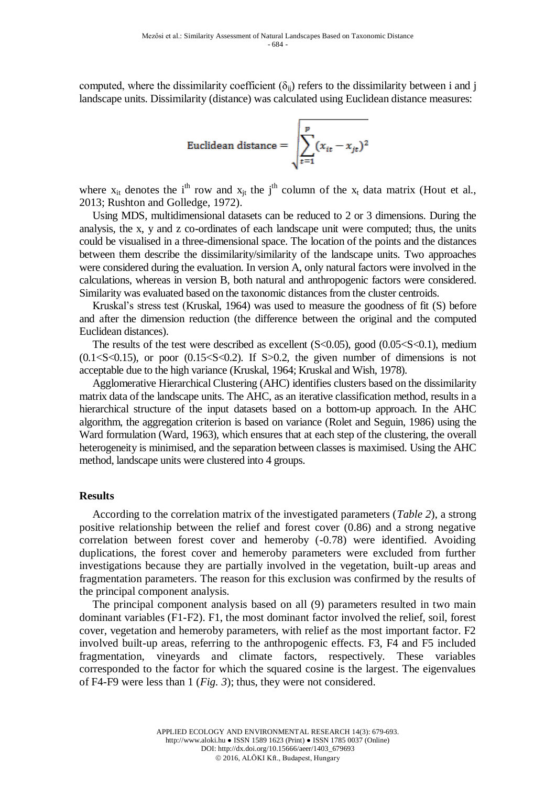computed, where the dissimilarity coefficient  $(\delta_{ij})$  refers to the dissimilarity between i and j landscape units. Dissimilarity (distance) was calculated using Euclidean distance measures:

Euclidean distance = 
$$
\sqrt{\sum_{t=1}^{p} (x_{it} - x_{jt})^2}
$$

where  $x_{it}$  denotes the i<sup>th</sup> row and  $x_{it}$  the j<sup>th</sup> column of the  $x_t$  data matrix [\(Hout](http://www.ncbi.nlm.nih.gov/pubmed/?term=Hout%20MC%5Bauth%5D) et al., 2013; Rushton and Golledge, 1972).

Using MDS, multidimensional datasets can be reduced to 2 or 3 dimensions. During the analysis, the x, y and z co-ordinates of each landscape unit were computed; thus, the units could be visualised in a three-dimensional space. The location of the points and the distances between them describe the dissimilarity/similarity of the landscape units. Two approaches were considered during the evaluation. In version A, only natural factors were involved in the calculations, whereas in version B, both natural and anthropogenic factors were considered. Similarity was evaluated based on the taxonomic distances from the cluster centroids.

Kruskal's stress test (Kruskal, 1964) was used to measure the goodness of fit (S) before and after the dimension reduction (the difference between the original and the computed Euclidean distances).

The results of the test were described as excellent  $(S<0.05)$ , good  $(0.05< S<0.1)$ , medium  $(0.1 < S < 0.15)$ , or poor  $(0.15 < S < 0.2)$ . If S $> 0.2$ , the given number of dimensions is not acceptable due to the high variance (Kruskal, 1964; Kruskal and Wish, 1978).

Agglomerative Hierarchical Clustering (AHC) identifies clusters based on the dissimilarity matrix data of the landscape units. The AHC, as an iterative classification method, results in a hierarchical structure of the input datasets based on a bottom-up approach. In the AHC algorithm, the aggregation criterion is based on variance (Rolet and Seguin, 1986) using the Ward formulation (Ward, 1963), which ensures that at each step of the clustering, the overall heterogeneity is minimised, and the separation between classes is maximised. Using the AHC method, landscape units were clustered into 4 groups.

#### **Results**

According to the correlation matrix of the investigated parameters (*Table 2*), a strong positive relationship between the relief and forest cover (0.86) and a strong negative correlation between forest cover and hemeroby (-0.78) were identified. Avoiding duplications, the forest cover and hemeroby parameters were excluded from further investigations because they are partially involved in the vegetation, built-up areas and fragmentation parameters. The reason for this exclusion was confirmed by the results of the principal component analysis.

The principal component analysis based on all (9) parameters resulted in two main dominant variables (F1-F2). F1, the most dominant factor involved the relief, soil, forest cover, vegetation and hemeroby parameters, with relief as the most important factor. F2 involved built-up areas, referring to the anthropogenic effects. F3, F4 and F5 included fragmentation, vineyards and climate factors, respectively. These variables corresponded to the factor for which the squared cosine is the largest. The eigenvalues of F4-F9 were less than 1 (*Fig. 3*); thus, they were not considered.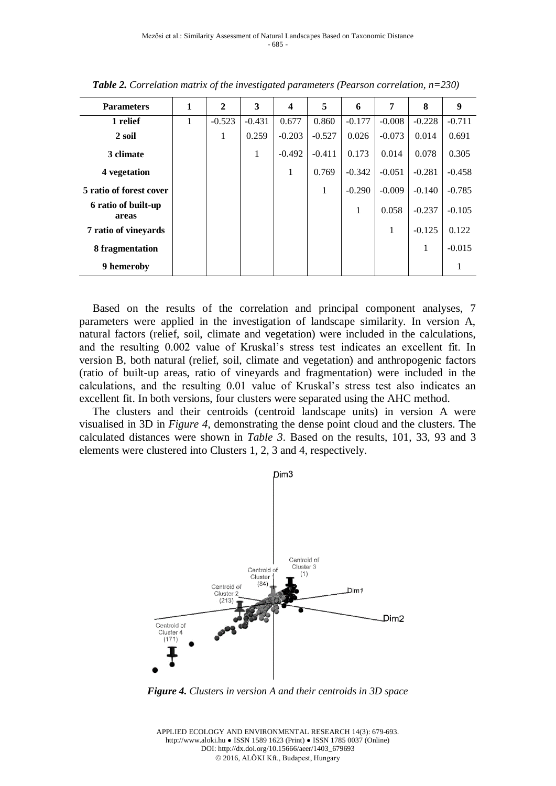| <b>Parameters</b>            | 1 | $\mathbf{2}$ | 3        | $\boldsymbol{4}$ | 5        | 6        | 7        | 8        | 9        |
|------------------------------|---|--------------|----------|------------------|----------|----------|----------|----------|----------|
| 1 relief                     | 1 | $-0.523$     | $-0.431$ | 0.677            | 0.860    | $-0.177$ | $-0.008$ | $-0.228$ | $-0.711$ |
| 2 soil                       |   | 1            | 0.259    | $-0.203$         | $-0.527$ | 0.026    | $-0.073$ | 0.014    | 0.691    |
| 3 climate                    |   |              | 1        | $-0.492$         | $-0.411$ | 0.173    | 0.014    | 0.078    | 0.305    |
| 4 vegetation                 |   |              |          | 1                | 0.769    | $-0.342$ | $-0.051$ | $-0.281$ | $-0.458$ |
| 5 ratio of forest cover      |   |              |          |                  | 1        | $-0.290$ | $-0.009$ | $-0.140$ | $-0.785$ |
| 6 ratio of built-up<br>areas |   |              |          |                  |          | 1        | 0.058    | $-0.237$ | $-0.105$ |
| 7 ratio of vineyards         |   |              |          |                  |          |          | 1        | $-0.125$ | 0.122    |
| 8 fragmentation              |   |              |          |                  |          |          |          | 1        | $-0.015$ |
| 9 hemeroby                   |   |              |          |                  |          |          |          |          | -        |

*Table 2. Correlation matrix of the investigated parameters (Pearson correlation, n=230)*

Based on the results of the correlation and principal component analyses, 7 parameters were applied in the investigation of landscape similarity. In version A, natural factors (relief, soil, climate and vegetation) were included in the calculations, and the resulting 0.002 value of Kruskal's stress test indicates an excellent fit. In version B, both natural (relief, soil, climate and vegetation) and anthropogenic factors (ratio of built-up areas, ratio of vineyards and fragmentation) were included in the calculations, and the resulting 0.01 value of Kruskal's stress test also indicates an excellent fit. In both versions, four clusters were separated using the AHC method.

The clusters and their centroids (centroid landscape units) in version A were visualised in 3D in *Figure 4*, demonstrating the dense point cloud and the clusters. The calculated distances were shown in *Table 3*. Based on the results, 101, 33, 93 and 3 elements were clustered into Clusters 1, 2, 3 and 4, respectively.



*Figure 4. Clusters in version A and their centroids in 3D space*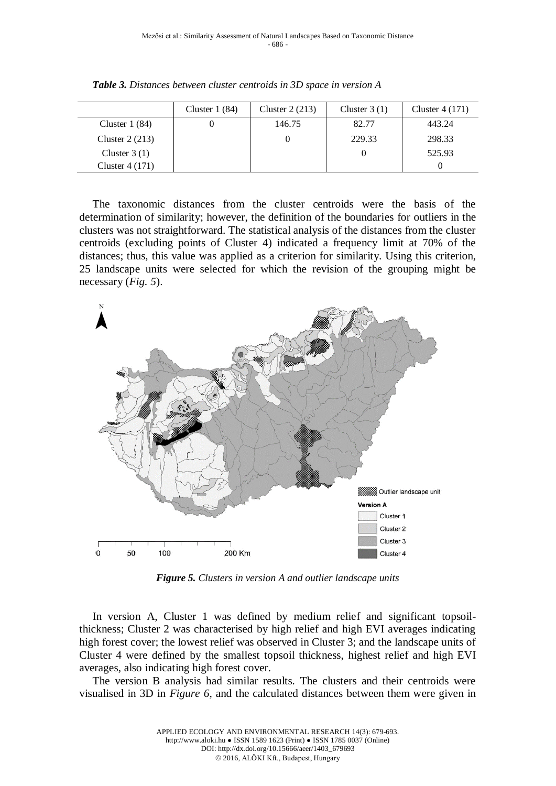|                  | Cluster $1(84)$ | Cluster $2(213)$ | Cluster $3(1)$ | Cluster $4(171)$ |
|------------------|-----------------|------------------|----------------|------------------|
| Cluster $1(84)$  |                 | 146.75           | 82.77          | 443.24           |
| Cluster $2(213)$ |                 |                  | 229.33         | 298.33           |
| Cluster $3(1)$   |                 |                  |                | 525.93           |
| Cluster $4(171)$ |                 |                  |                |                  |

*Table 3. Distances between cluster centroids in 3D space in version A*

The taxonomic distances from the cluster centroids were the basis of the determination of similarity; however, the definition of the boundaries for outliers in the clusters was not straightforward. The statistical analysis of the distances from the cluster centroids (excluding points of Cluster 4) indicated a frequency limit at 70% of the distances; thus, this value was applied as a criterion for similarity. Using this criterion, 25 landscape units were selected for which the revision of the grouping might be necessary (*Fig. 5*).



*Figure 5. Clusters in version A and outlier landscape units*

In version A, Cluster 1 was defined by medium relief and significant topsoilthickness; Cluster 2 was characterised by high relief and high EVI averages indicating high forest cover; the lowest relief was observed in Cluster 3; and the landscape units of Cluster 4 were defined by the smallest topsoil thickness, highest relief and high EVI averages, also indicating high forest cover.

The version B analysis had similar results. The clusters and their centroids were visualised in 3D in *Figure 6*, and the calculated distances between them were given in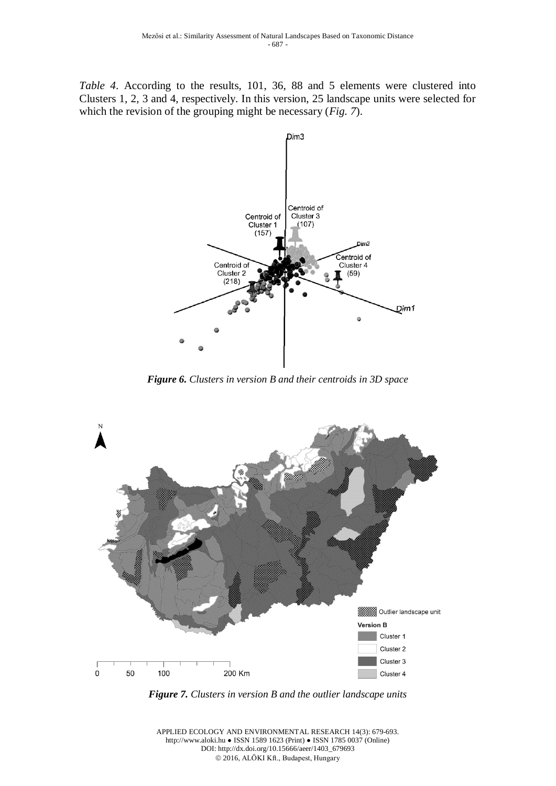*Table 4*. According to the results, 101, 36, 88 and 5 elements were clustered into Clusters 1, 2, 3 and 4, respectively. In this version, 25 landscape units were selected for which the revision of the grouping might be necessary (*Fig. 7*).



*Figure 6. Clusters in version B and their centroids in 3D space*



*Figure 7. Clusters in version B and the outlier landscape units*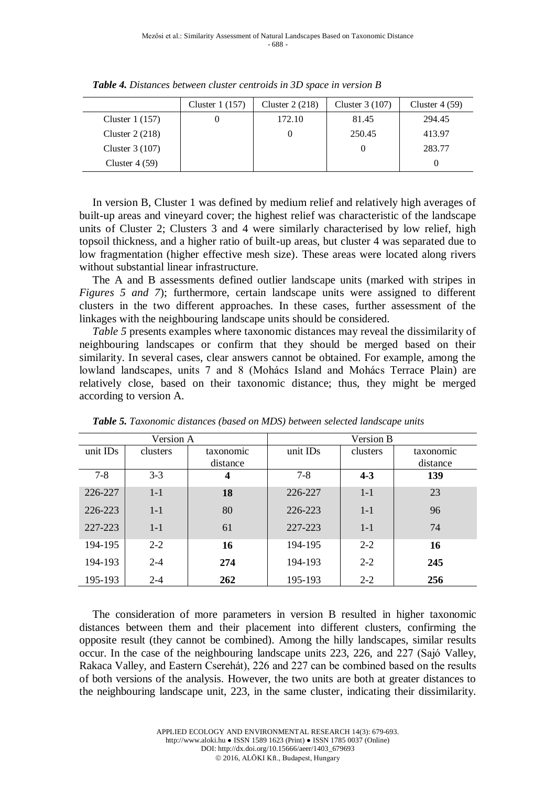|                  | Cluster $1(157)$ | Cluster $2(218)$ | Cluster $3(107)$ | Cluster $4(59)$ |
|------------------|------------------|------------------|------------------|-----------------|
| Cluster $1(157)$ |                  | 172.10           | 81.45            | 294.45          |
| Cluster $2(218)$ |                  |                  | 250.45           | 413.97          |
| Cluster $3(107)$ |                  |                  |                  | 283.77          |
| Cluster $4(59)$  |                  |                  |                  |                 |

*Table 4. Distances between cluster centroids in 3D space in version B*

In version B, Cluster 1 was defined by medium relief and relatively high averages of built-up areas and vineyard cover; the highest relief was characteristic of the landscape units of Cluster 2; Clusters 3 and 4 were similarly characterised by low relief, high topsoil thickness, and a higher ratio of built-up areas, but cluster 4 was separated due to low fragmentation (higher effective mesh size). These areas were located along rivers without substantial linear infrastructure.

The A and B assessments defined outlier landscape units (marked with stripes in *Figures 5 and 7*); furthermore, certain landscape units were assigned to different clusters in the two different approaches. In these cases, further assessment of the linkages with the neighbouring landscape units should be considered.

*Table 5* presents examples where taxonomic distances may reveal the dissimilarity of neighbouring landscapes or confirm that they should be merged based on their similarity. In several cases, clear answers cannot be obtained. For example, among the lowland landscapes, units 7 and 8 (Mohács Island and Mohács Terrace Plain) are relatively close, based on their taxonomic distance; thus, they might be merged according to version A.

|          | Version A |           | Version B |          |           |  |
|----------|-----------|-----------|-----------|----------|-----------|--|
| unit IDs | clusters  | taxonomic | unit IDs  | clusters | taxonomic |  |
|          |           | distance  |           |          | distance  |  |
| $7 - 8$  | $3 - 3$   | 4         | $7 - 8$   | $4 - 3$  | 139       |  |
| 226-227  | $1-1$     | 18        | 226-227   | $1-1$    | 23        |  |
| 226-223  | $1-1$     | 80        | 226-223   | $1-1$    | 96        |  |
| 227-223  | $1-1$     | 61        | 227-223   | $1 - 1$  | 74        |  |
| 194-195  | $2 - 2$   | 16        | 194-195   | $2 - 2$  | 16        |  |
| 194-193  | $2 - 4$   | 274       | 194-193   | $2 - 2$  | 245       |  |
| 195-193  | $2 - 4$   | 262       | 195-193   | $2 - 2$  | 256       |  |

*Table 5. Taxonomic distances (based on MDS) between selected landscape units* 

The consideration of more parameters in version B resulted in higher taxonomic distances between them and their placement into different clusters, confirming the opposite result (they cannot be combined). Among the hilly landscapes, similar results occur. In the case of the neighbouring landscape units 223, 226, and 227 (Sajó Valley, Rakaca Valley, and Eastern Cserehát), 226 and 227 can be combined based on the results of both versions of the analysis. However, the two units are both at greater distances to the neighbouring landscape unit, 223, in the same cluster, indicating their dissimilarity.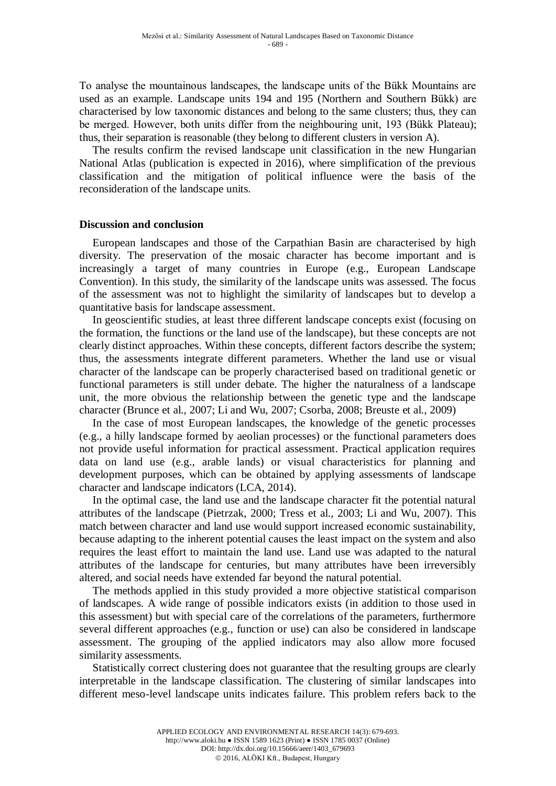To analyse the mountainous landscapes, the landscape units of the Bükk Mountains are used as an example. Landscape units 194 and 195 (Northern and Southern Bükk) are characterised by low taxonomic distances and belong to the same clusters; thus, they can be merged. However, both units differ from the neighbouring unit, 193 (Bükk Plateau); thus, their separation is reasonable (they belong to different clusters in version A).

The results confirm the revised landscape unit classification in the new Hungarian National Atlas (publication is expected in 2016), where simplification of the previous classification and the mitigation of political influence were the basis of the reconsideration of the landscape units.

### **Discussion and conclusion**

European landscapes and those of the Carpathian Basin are characterised by high diversity. The preservation of the mosaic character has become important and is increasingly a target of many countries in Europe (e.g., European Landscape Convention). In this study, the similarity of the landscape units was assessed. The focus of the assessment was not to highlight the similarity of landscapes but to develop a quantitative basis for landscape assessment.

In geoscientific studies, at least three different landscape concepts exist (focusing on the formation, the functions or the land use of the landscape), but these concepts are not clearly distinct approaches. Within these concepts, different factors describe the system; thus, the assessments integrate different parameters. Whether the land use or visual character of the landscape can be properly characterised based on traditional genetic or functional parameters is still under debate. The higher the naturalness of a landscape unit, the more obvious the relationship between the genetic type and the landscape character (Brunce et al., 2007; Li and Wu, 2007; Csorba, 2008; Breuste et al., 2009)

In the case of most European landscapes, the knowledge of the genetic processes (e.g., a hilly landscape formed by aeolian processes) or the functional parameters does not provide useful information for practical assessment. Practical application requires data on land use (e.g., arable lands) or visual characteristics for planning and development purposes, which can be obtained by applying assessments of landscape character and landscape indicators (LCA, 2014).

In the optimal case, the land use and the landscape character fit the potential natural attributes of the landscape (Pietrzak, 2000; Tress et al., 2003; Li and Wu, 2007). This match between character and land use would support increased economic sustainability, because adapting to the inherent potential causes the least impact on the system and also requires the least effort to maintain the land use. Land use was adapted to the natural attributes of the landscape for centuries, but many attributes have been irreversibly altered, and social needs have extended far beyond the natural potential.

The methods applied in this study provided a more objective statistical comparison of landscapes. A wide range of possible indicators exists (in addition to those used in this assessment) but with special care of the correlations of the parameters, furthermore several different approaches (e.g., function or use) can also be considered in landscape assessment. The grouping of the applied indicators may also allow more focused similarity assessments.

Statistically correct clustering does not guarantee that the resulting groups are clearly interpretable in the landscape classification. The clustering of similar landscapes into different meso-level landscape units indicates failure. This problem refers back to the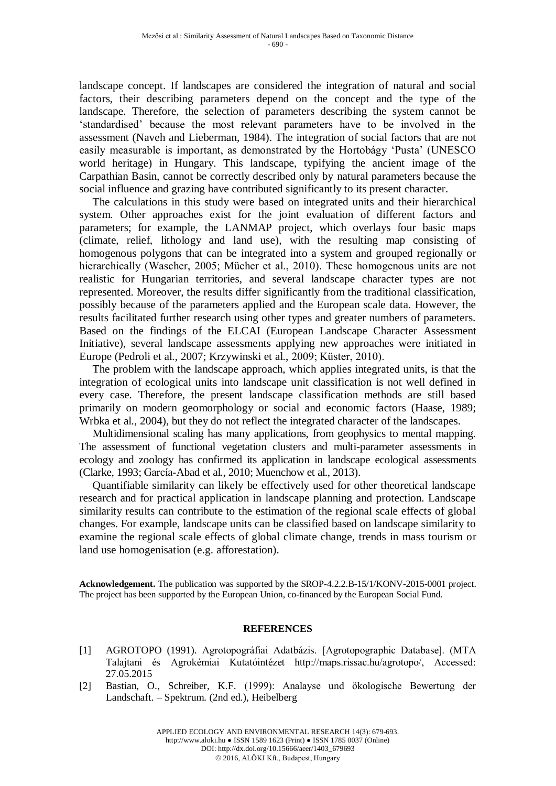landscape concept. If landscapes are considered the integration of natural and social factors, their describing parameters depend on the concept and the type of the landscape. Therefore, the selection of parameters describing the system cannot be 'standardised' because the most relevant parameters have to be involved in the assessment (Naveh and Lieberman, 1984). The integration of social factors that are not easily measurable is important, as demonstrated by the Hortobágy 'Pusta' (UNESCO world heritage) in Hungary. This landscape, typifying the ancient image of the Carpathian Basin, cannot be correctly described only by natural parameters because the social influence and grazing have contributed significantly to its present character.

The calculations in this study were based on integrated units and their hierarchical system. Other approaches exist for the joint evaluation of different factors and parameters; for example, the LANMAP project, which overlays four basic maps (climate, relief, lithology and land use), with the resulting map consisting of homogenous polygons that can be integrated into a system and grouped regionally or hierarchically (Wascher, 2005; Mücher et al., 2010). These homogenous units are not realistic for Hungarian territories, and several landscape character types are not represented. Moreover, the results differ significantly from the traditional classification, possibly because of the parameters applied and the European scale data. However, the results facilitated further research using other types and greater numbers of parameters. Based on the findings of the ELCAI (European Landscape Character Assessment Initiative), several landscape assessments applying new approaches were initiated in Europe (Pedroli et al., 2007; Krzywinski et al., 2009; Küster, 2010).

The problem with the landscape approach, which applies integrated units, is that the integration of ecological units into landscape unit classification is not well defined in every case. Therefore, the present landscape classification methods are still based primarily on modern geomorphology or social and economic factors (Haase, 1989; Wrbka et al., 2004), but they do not reflect the integrated character of the landscapes.

Multidimensional scaling has many applications, from geophysics to mental mapping. The assessment of functional vegetation clusters and multi-parameter assessments in ecology and zoology has confirmed its application in landscape ecological assessments (Clarke, 1993; García-Abad et al., 2010; Muenchow et al., 2013).

Quantifiable similarity can likely be effectively used for other theoretical landscape research and for practical application in landscape planning and protection. Landscape similarity results can contribute to the estimation of the regional scale effects of global changes. For example, landscape units can be classified based on landscape similarity to examine the regional scale effects of global climate change, trends in mass tourism or land use homogenisation (e.g. afforestation).

**Acknowledgement.** The publication was supported by the SROP-4.2.2.B-15/1/KONV-2015-0001 project. The project has been supported by the European Union, co-financed by the European Social Fund.

### **REFERENCES**

- [1] AGROTOPO (1991). Agrotopográfiai Adatbázis. [Agrotopographic Database]. (MTA Talajtani és Agrokémiai Kutatóintézet http://maps.rissac.hu/agrotopo/, Accessed: 27.05.2015
- [2] Bastian, O., Schreiber, K.F. (1999): Analayse und ökologische Bewertung der Landschaft. – Spektrum. (2nd ed.), Heibelberg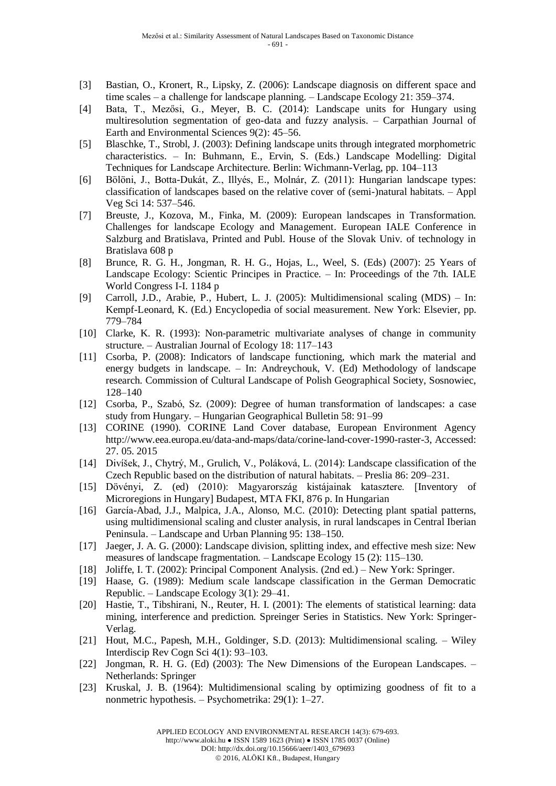- [3] Bastian, O., Kronert, R., Lipsky, Z. (2006): Landscape diagnosis on different space and time scales – a challenge for landscape planning. – Landscape Ecology 21: 359–374.
- [4] Bata, T., Mezősi, G., Meyer, B. C. (2014): Landscape units for Hungary using multiresolution segmentation of geo-data and fuzzy analysis. – Carpathian Journal of Earth and Environmental Sciences 9(2): 45–56.
- [5] Blaschke, T., Strobl, J. (2003): Defining landscape units through integrated morphometric characteristics. – In: Buhmann, E., Ervin, S. (Eds.) Landscape Modelling: Digital Techniques for Landscape Architecture. Berlin: Wichmann-Verlag, pp. 104–113
- [6] Bölöni, J., Botta-Dukát, Z., Illyés, E., Molnár, Z. (2011): Hungarian landscape types: classification of landscapes based on the relative cover of (semi-)natural habitats. – Appl Veg Sci 14: 537–546.
- [7] Breuste, J., Kozova, M., Finka, M. (2009): European landscapes in Transformation. Challenges for landscape Ecology and Management. European IALE Conference in Salzburg and Bratislava, Printed and Publ. House of the Slovak Univ. of technology in Bratislava 608 p
- [8] Brunce, R. G. H., Jongman, R. H. G., Hojas, L., Weel, S. (Eds) (2007): 25 Years of Landscape Ecology: Scientic Principes in Practice. – In: Proceedings of the 7th. IALE World Congress I-I. 1184 p
- [9] Carroll, J.D., Arabie, P., Hubert, L. J. (2005): Multidimensional scaling (MDS) In: Kempf-Leonard, K. (Ed.) Encyclopedia of social measurement. New York: Elsevier, pp. 779–784
- [10] Clarke, K. R. (1993): Non-parametric multivariate analyses of change in community structure. – Australian Journal of Ecology 18: 117–143
- [11] Csorba, P. (2008): Indicators of landscape functioning, which mark the material and energy budgets in landscape. – In: Andreychouk, V. (Ed) Methodology of landscape research. Commission of Cultural Landscape of Polish Geographical Society, Sosnowiec, 128–140
- [12] Csorba, P., Szabó, Sz. (2009): Degree of human transformation of landscapes: a case study from Hungary. – Hungarian Geographical Bulletin 58: 91–99
- [13] CORINE (1990). CORINE Land Cover database, European Environment Agency http://www.eea.europa.eu/data-and-maps/data/corine-land-cover-1990-raster-3, Accessed: 27. 05. 2015
- [14] Divíšek, J., Chytrý, M., Grulich, V., Poláková, L. (2014): Landscape classification of the Czech Republic based on the distribution of natural habitats. – Preslia 86: 209–231.
- [15] Dövényi, Z. (ed) (2010): Magyarország kistájainak katasztere. [Inventory of Microregions in Hungary] Budapest, MTA FKI, 876 p. In Hungarian
- [16] García-Abad, J.J., Malpica, J.A., Alonso, M.C. (2010): Detecting plant spatial patterns, using multidimensional scaling and cluster analysis, in rural landscapes in Central Iberian Peninsula. – Landscape and Urban Planning 95: 138–150.
- [17] Jaeger, J. A. G. (2000): Landscape division, splitting index, and effective mesh size: New measures of landscape fragmentation. – Landscape Ecology 15 (2): 115–130.
- [18] Joliffe, I. T. (2002): Principal Component Analysis. (2nd ed.) New York: Springer.
- [19] Haase, G. (1989): Medium scale landscape classification in the German Democratic Republic. – Landscape Ecology 3(1): 29–41.
- [20] Hastie, T., Tibshirani, N., Reuter, H. I. (2001): The elements of statistical learning: data mining, interference and prediction. Spreinger Series in Statistics. New York: Springer-Verlag.
- [21] [Hout,](http://www.ncbi.nlm.nih.gov/pubmed/?term=Hout%20MC%5Bauth%5D) M.C., [Papesh,](http://www.ncbi.nlm.nih.gov/pubmed/?term=Papesh%20MH%5Bauth%5D) M.H., [Goldinger,](http://www.ncbi.nlm.nih.gov/pubmed/?term=Goldinger%20SD%5Bauth%5D) S.D. (2013): Multidimensional scaling. Wiley Interdiscip Rev Cogn Sci 4(1): 93–103.
- [22] Jongman, R. H. G. (Ed) (2003): The New Dimensions of the European Landscapes. Netherlands: Springer
- [23] Kruskal, J. B. (1964): Multidimensional scaling by optimizing goodness of fit to a nonmetric hypothesis. – Psychometrika: 29(1): 1–27.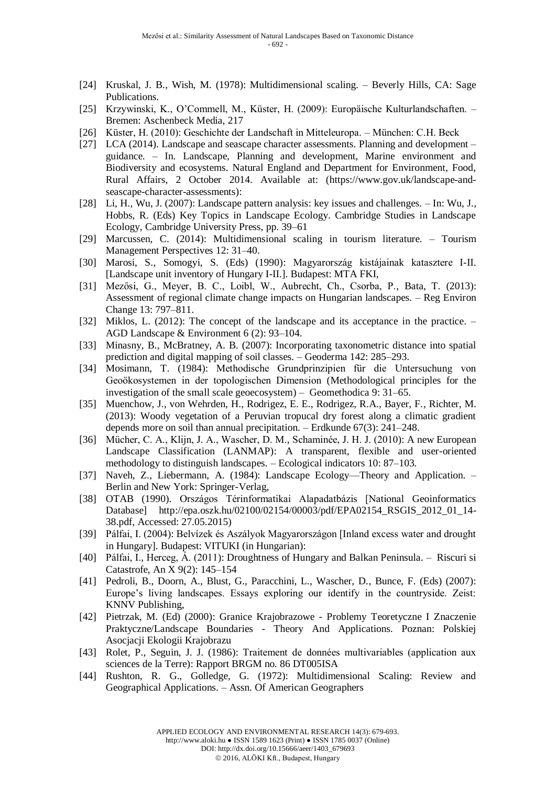- [24] Kruskal, J. B., Wish, M. (1978): Multidimensional scaling. Beverly Hills, CA: Sage Publications.
- [25] Krzywinski, K., O'Commell, M., Küster, H. (2009): Europäische Kulturlandschaften. Bremen: Aschenbeck Media, 217
- [26] Küster, H. (2010): Geschichte der Landschaft in Mitteleuropa. München: C.H. Beck
- [27] LCA (2014). Landscape and seascape character assessments. Planning and development guidance. – In. Landscape, Planning and development, Marine environment and Biodiversity and ecosystems. Natural England and Department for Environment, Food, Rural Affairs, 2 October 2014. Available at: (https://www.gov.uk/landscape-andseascape-character-assessments):
- [28] Li, H., Wu, J. (2007): Landscape pattern analysis: key issues and challenges. In: Wu, J., Hobbs, R. (Eds) Key Topics in Landscape Ecology. Cambridge Studies in Landscape Ecology, Cambridge University Press, pp. 39–61
- [29] [Marcussen,](http://www.sciencedirect.com/science/article/pii/S221197361400035X) C. (2014): Multidimensional scaling in tourism literature. Tourism Management Perspectives 12: 31–40.
- [30] Marosi, S., Somogyi, S. (Eds) (1990): Magyarország kistájainak katasztere I-II. [Landscape unit inventory of Hungary I-II.]. Budapest: MTA FKI,
- [31] Mezősi, G., Meyer, B. C., Loibl, W., Aubrecht, Ch., Csorba, P., Bata, T. (2013): Assessment of regional climate change impacts on Hungarian landscapes. – Reg Environ Change 13: 797–811.
- [32] Miklos, L. (2012): The concept of the landscape and its acceptance in the practice. AGD Landscape & Environment 6 (2): 93–104.
- [33] Minasny, B., McBratney, A. B. (2007): Incorporating taxonometric distance into spatial prediction and digital mapping of soil classes. – Geoderma 142: 285–293.
- [34] Mosimann, T. (1984): [Methodische Grundprinzipien für die Untersuchung von](http://www.phygeo.uni-hannover.de/publikation_singleview.html?&no_cache=1&tx_tkpublikationen_pi1%5BshowUid%5D=160) [Geoökosystemen in der topologischen Dimension](http://www.phygeo.uni-hannover.de/publikation_singleview.html?&no_cache=1&tx_tkpublikationen_pi1%5BshowUid%5D=160) (Methodological principles for the investigation of the small scale geoecosystem) – Geomethodica 9: 31–65.
- [35] Muenchow, J., von Wehrden, H., Rodrigez, E. E., Rodrigez, R.A., Bayer, F., Richter, M. (2013): Woody vegetation of a Peruvian tropucal dry forest along a climatic gradient depends more on soil than annual precipitation. – Erdkunde 67(3): 241–248.
- [36] Mücher, C. A., Klijn, J. A., Wascher, D. M., Schaminée, J. H. J. (2010): A new European Landscape Classification (LANMAP): A transparent, flexible and user-oriented methodology to distinguish landscapes. – Ecological indicators 10: 87–103.
- [37] Naveh, Z., Liebermann, A. (1984): Landscape Ecology—Theory and Application. Berlin and New York: Springer-Verlag,
- [38] OTAB (1990). Országos Térinformatikai Alapadatbázis [National Geoinformatics Database] [http://epa.oszk.hu/02100/02154/00003/pdf/EPA02154\\_RSGIS\\_2012\\_01\\_14-](http://epa.oszk.hu/02100/02154/00003/pdf/EPA02154_RSGIS_2012_01_14-38.pdf) [38.pdf,](http://epa.oszk.hu/02100/02154/00003/pdf/EPA02154_RSGIS_2012_01_14-38.pdf) Accessed: 27.05.2015)
- [39] Pálfai, I. (2004): Belvízek és Aszályok Magyarországon [Inland excess water and drought in Hungary]. Budapest: VITUKI (in Hungarian):
- [40] Pálfai, I., Herceg, Á. (2011): Droughtness of Hungary and Balkan Peninsula. Riscuri si Catastrofe, An X 9(2): 145–154
- [41] Pedroli, B., Doorn, A., Blust, G., Paracchini, L., Wascher, D., Bunce, F. (Eds) (2007): Europe's living landscapes. Essays exploring our identify in the countryside. Zeist: KNNV Publishing,
- [42] Pietrzak, M. (Ed) (2000): Granice Krajobrazowe Problemy Teoretyczne I Znaczenie Praktyczne/Landscape Boundaries - Theory And Applications. Poznan: Polskiej Asocjacji Ekologii Krajobrazu
- [43] Rolet, P., Seguin, J. J. (1986): Traitement de données multivariables (application aux sciences de la Terre): Rapport BRGM no. 86 DT005ISA
- [44] Rushton, R. G., Golledge, G. (1972): Multidimensional Scaling: Review and Geographical Applications. – Assn. Of American Geographers